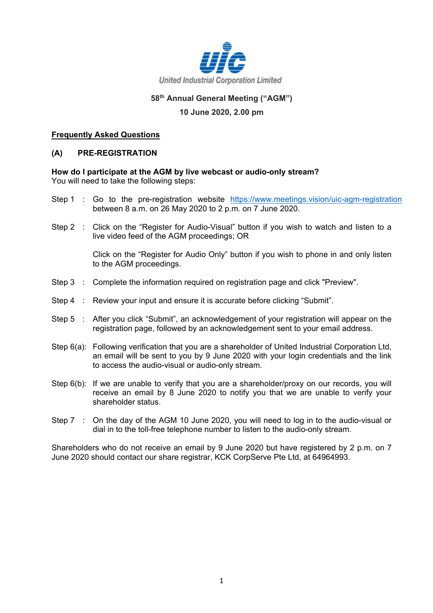

## **58th Annual General Meeting ("AGM")**

## **10 June 2020, 2.00 pm**

### **Frequently Asked Questions**

### **(A) PRE-REGISTRATION**

#### **How do I participate at the AGM by live webcast or audio-only stream?** You will need to take the following steps:

- Step 1 : Go to the pre-registration website <https://www.meetings.vision/uic-agm-registration> between 8 a.m. on 26 May 2020 to 2 p.m. on 7 June 2020.
- Step 2 : Click on the "Register for Audio-Visual" button if you wish to watch and listen to a live video feed of the AGM proceedings; OR

Click on the "Register for Audio Only" button if you wish to phone in and only listen to the AGM proceedings.

- Step 3 : Complete the information required on registration page and click "Preview".
- Step 4 : Review your input and ensure it is accurate before clicking "Submit".
- Step 5 : After you click "Submit", an acknowledgement of your registration will appear on the registration page, followed by an acknowledgement sent to your email address.
- Step 6(a): Following verification that you are a shareholder of United Industrial Corporation Ltd, an email will be sent to you by 9 June 2020 with your login credentials and the link to access the audio-visual or audio-only stream.
- Step 6(b): If we are unable to verify that you are a shareholder/proxy on our records, you will receive an email by 8 June 2020 to notify you that we are unable to verify your shareholder status.
- Step 7 : On the day of the AGM 10 June 2020, you will need to log in to the audio-visual or dial in to the toll-free telephone number to listen to the audio-only stream.

Shareholders who do not receive an email by 9 June 2020 but have registered by 2 p.m. on 7 June 2020 should contact our share registrar, KCK CorpServe Pte Ltd, at 64964993.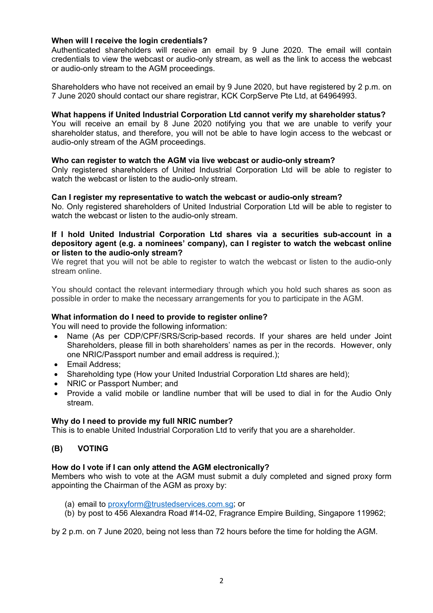## **When will I receive the login credentials?**

Authenticated shareholders will receive an email by 9 June 2020. The email will contain credentials to view the webcast or audio-only stream, as well as the link to access the webcast or audio-only stream to the AGM proceedings.

Shareholders who have not received an email by 9 June 2020, but have registered by 2 p.m. on 7 June 2020 should contact our share registrar, KCK CorpServe Pte Ltd, at 64964993.

#### **What happens if United Industrial Corporation Ltd cannot verify my shareholder status?**

You will receive an email by 8 June 2020 notifying you that we are unable to verify your shareholder status, and therefore, you will not be able to have login access to the webcast or audio-only stream of the AGM proceedings.

### **Who can register to watch the AGM via live webcast or audio-only stream?**

Only registered shareholders of United Industrial Corporation Ltd will be able to register to watch the webcast or listen to the audio-only stream.

### **Can I register my representative to watch the webcast or audio-only stream?**

No. Only registered shareholders of United Industrial Corporation Ltd will be able to register to watch the webcast or listen to the audio-only stream.

#### **If I hold United Industrial Corporation Ltd shares via a securities sub-account in a depository agent (e.g. a nominees' company), can I register to watch the webcast online or listen to the audio-only stream?**

We regret that you will not be able to register to watch the webcast or listen to the audio-only stream online.

You should contact the relevant intermediary through which you hold such shares as soon as possible in order to make the necessary arrangements for you to participate in the AGM.

## **What information do I need to provide to register online?**

You will need to provide the following information:

- Name (As per CDP/CPF/SRS/Scrip-based records. If your shares are held under Joint Shareholders, please fill in both shareholders' names as per in the records. However, only one NRIC/Passport number and email address is required.);
- Email Address;
- Shareholding type (How your United Industrial Corporation Ltd shares are held);
- NRIC or Passport Number; and
- Provide a valid mobile or landline number that will be used to dial in for the Audio Only stream.

#### **Why do I need to provide my full NRIC number?**

This is to enable United Industrial Corporation Ltd to verify that you are a shareholder.

## **(B) VOTING**

#### **How do I vote if I can only attend the AGM electronically?**

Members who wish to vote at the AGM must submit a duly completed and signed proxy form appointing the Chairman of the AGM as proxy by:

- (a) email to [proxyform@trustedservices.com.sg;](mailto:proxyform@trustedservices.com.sg) or
- (b) by post to 456 Alexandra Road #14-02, Fragrance Empire Building, Singapore 119962;

by 2 p.m. on 7 June 2020, being not less than 72 hours before the time for holding the AGM.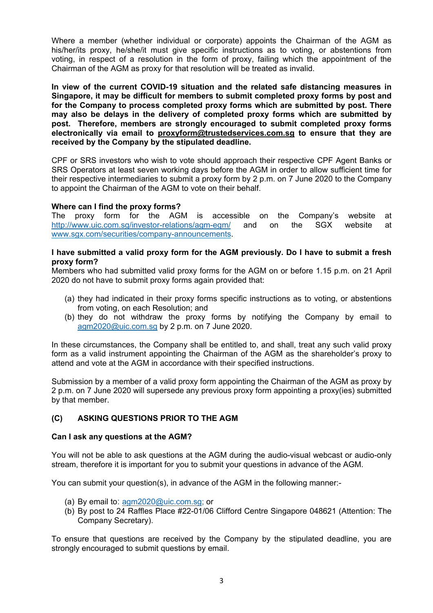Where a member (whether individual or corporate) appoints the Chairman of the AGM as his/her/its proxy, he/she/it must give specific instructions as to voting, or abstentions from voting, in respect of a resolution in the form of proxy, failing which the appointment of the Chairman of the AGM as proxy for that resolution will be treated as invalid.

**In view of the current COVID-19 situation and the related safe distancing measures in Singapore, it may be difficult for members to submit completed proxy forms by post and for the Company to process completed proxy forms which are submitted by post. There may also be delays in the delivery of completed proxy forms which are submitted by post. Therefore, members are strongly encouraged to submit completed proxy forms electronically via email to [proxyform@trustedservices.com.sg](mailto:proxyform@trustedservices.com.sg) to ensure that they are received by the Company by the stipulated deadline.**

CPF or SRS investors who wish to vote should approach their respective CPF Agent Banks or SRS Operators at least seven working days before the AGM in order to allow sufficient time for their respective intermediaries to submit a proxy form by 2 p.m. on 7 June 2020 to the Company to appoint the Chairman of the AGM to vote on their behalf.

## **Where can I find the proxy forms?**

The proxy form for the AGM is accessible on the Company's website at <http://www.uic.com.sg/investor-relations/agm-egm/> and on the SGX website at [www.sgx.com/securities/company-announcements.](http://www.sgx.com/securities/company-announcements)

## **I have submitted a valid proxy form for the AGM previously. Do I have to submit a fresh proxy form?**

Members who had submitted valid proxy forms for the AGM on or before 1.15 p.m. on 21 April 2020 do not have to submit proxy forms again provided that:

- (a) they had indicated in their proxy forms specific instructions as to voting, or abstentions from voting, on each Resolution; and
- (b) they do not withdraw the proxy forms by notifying the Company by email to [agm2020@uic.com.sg](mailto:agm2020@uic.com.sg) by 2 p.m. on 7 June 2020.

In these circumstances, the Company shall be entitled to, and shall, treat any such valid proxy form as a valid instrument appointing the Chairman of the AGM as the shareholder's proxy to attend and vote at the AGM in accordance with their specified instructions.

Submission by a member of a valid proxy form appointing the Chairman of the AGM as proxy by 2 p.m. on 7 June 2020 will supersede any previous proxy form appointing a proxy(ies) submitted by that member.

# **(C) ASKING QUESTIONS PRIOR TO THE AGM**

## **Can I ask any questions at the AGM?**

You will not be able to ask questions at the AGM during the audio-visual webcast or audio-only stream, therefore it is important for you to submit your questions in advance of the AGM.

You can submit your question(s), in advance of the AGM in the following manner:-

- (a) By email to: [agm2020@uic.com.sg;](mailto:agm2020@uic.com.sg) or
- (b) By post to 24 Raffles Place #22-01/06 Clifford Centre Singapore 048621 (Attention: The Company Secretary).

To ensure that questions are received by the Company by the stipulated deadline, you are strongly encouraged to submit questions by email.